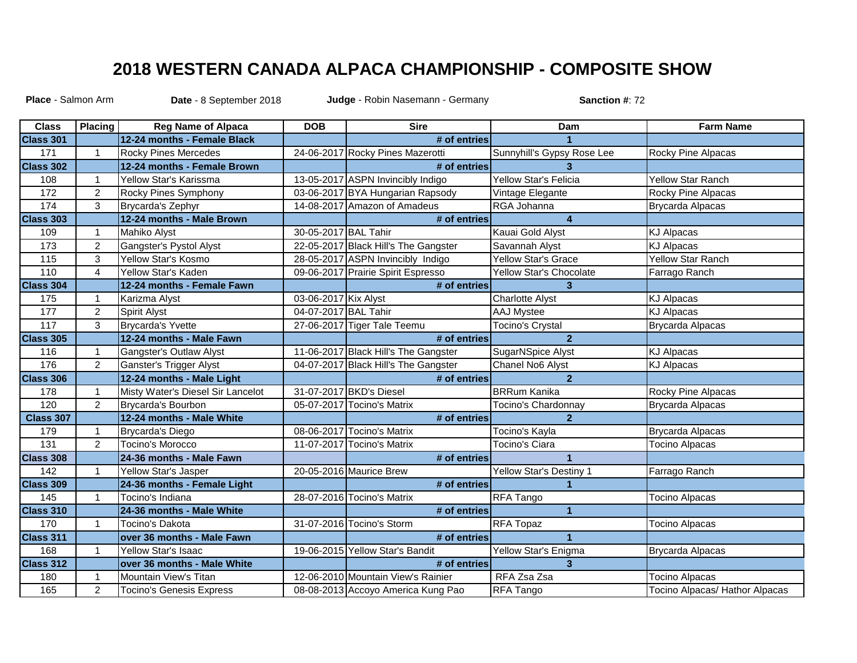## **2018 WESTERN CANADA ALPACA CHAMPIONSHIP - COMPOSITE SHOW**

**Date** - 8 September 2018 **Sanction #**: 72 **Place** - Salmon Arm **Judge** - Robin Nasemann - Germany

| <b>Class</b>     | Placing        | <b>Reg Name of Alpaca</b>         | <b>DOB</b>           | <b>Sire</b>                          | Dam                            | <b>Farm Name</b>               |
|------------------|----------------|-----------------------------------|----------------------|--------------------------------------|--------------------------------|--------------------------------|
| Class 301        |                | 12-24 months - Female Black       |                      | # of entries                         |                                |                                |
| 171              | $\mathbf{1}$   | <b>Rocky Pines Mercedes</b>       |                      | 24-06-2017 Rocky Pines Mazerotti     | Sunnyhill's Gypsy Rose Lee     | Rocky Pine Alpacas             |
| Class 302        |                | 12-24 months - Female Brown       |                      | # of entries                         |                                |                                |
| 108              | $\mathbf{1}$   | Yellow Star's Karissma            |                      | 13-05-2017 ASPN Invincibly Indigo    | Yellow Star's Felicia          | <b>Yellow Star Ranch</b>       |
| 172              | $\overline{c}$ | Rocky Pines Symphony              |                      | 03-06-2017 BYA Hungarian Rapsody     | Vintage Elegante               | Rocky Pine Alpacas             |
| $\frac{1}{174}$  | 3              | Brycarda's Zephyr                 |                      | 14-08-2017 Amazon of Amadeus         | RGA Johanna                    | Brycarda Alpacas               |
| Class 303        |                | 12-24 months - Male Brown         |                      | # of entries                         | $\overline{4}$                 |                                |
| 109              | $\mathbf 1$    | Mahiko Alyst                      | 30-05-2017 BAL Tahir |                                      | Kauai Gold Alyst               | <b>KJ Alpacas</b>              |
| 173              | $\overline{2}$ | Gangster's Pystol Alyst           |                      | 22-05-2017 Black Hill's The Gangster | Savannah Alyst                 | <b>KJ Alpacas</b>              |
| 115              | 3              | Yellow Star's Kosmo               |                      | 28-05-2017 ASPN Invincibly Indigo    | <b>Yellow Star's Grace</b>     | <b>Yellow Star Ranch</b>       |
| 110              | 4              | Yellow Star's Kaden               |                      | 09-06-2017 Prairie Spirit Espresso   | <b>Yellow Star's Chocolate</b> | Farrago Ranch                  |
| <b>Class 304</b> |                | 12-24 months - Female Fawn        |                      | # of entries                         | 3 <sup>2</sup>                 |                                |
| 175              | $\mathbf{1}$   | Karizma Alyst                     | 03-06-2017 Kix Alyst |                                      | <b>Charlotte Alyst</b>         | <b>KJ Alpacas</b>              |
| 177              | $\overline{2}$ | Spirit Alyst                      | 04-07-2017 BAL Tahir |                                      | <b>AAJ Mystee</b>              | <b>KJ Alpacas</b>              |
| $\frac{1}{117}$  | 3              | <b>Brycarda's Yvette</b>          |                      | 27-06-2017 Tiger Tale Teemu          | <b>Tocino's Crystal</b>        | Brycarda Alpacas               |
| Class 305        |                | 12-24 months - Male Fawn          |                      | # of entries                         | $\overline{2}$                 |                                |
| 116              | $\mathbf{1}$   | Gangster's Outlaw Alyst           |                      | 11-06-2017 Black Hill's The Gangster | <b>SugarNSpice Alyst</b>       | <b>KJ Alpacas</b>              |
| 176              | $\overline{2}$ | <b>Ganster's Trigger Alyst</b>    |                      | 04-07-2017 Black Hill's The Gangster | Chanel No6 Alyst               | <b>KJ Alpacas</b>              |
| <b>Class 306</b> |                | 12-24 months - Male Light         |                      | # of entries                         | $\overline{2}$                 |                                |
| 178              | $\mathbf{1}$   | Misty Water's Diesel Sir Lancelot |                      | 31-07-2017 BKD's Diesel              | <b>BRRum Kanika</b>            | Rocky Pine Alpacas             |
| 120              | $\overline{2}$ | <b>Brycarda's Bourbon</b>         |                      | 05-07-2017 Tocino's Matrix           | Tocino's Chardonnay            | <b>Brycarda Alpacas</b>        |
| <b>Class 307</b> |                | 12-24 months - Male White         |                      | # of entries                         | $\overline{2}$                 |                                |
| 179              | $\mathbf{1}$   | <b>Brycarda's Diego</b>           |                      | 08-06-2017 Tocino's Matrix           | Tocino's Kayla                 | <b>Brycarda Alpacas</b>        |
| 131              | $\overline{2}$ | <b>Tocino's Morocco</b>           |                      | 11-07-2017 Tocino's Matrix           | Tocino's Ciara                 | <b>Tocino Alpacas</b>          |
| Class 308        |                | 24-36 months - Male Fawn          |                      | # of entries                         | $\blacktriangleleft$           |                                |
| 142              | $\mathbf{1}$   | Yellow Star's Jasper              |                      | 20-05-2016 Maurice Brew              | Yellow Star's Destiny 1        | Farrago Ranch                  |
| Class 309        |                | 24-36 months - Female Light       |                      | # of entries                         |                                |                                |
| 145              | $\mathbf{1}$   | Tocino's Indiana                  |                      | 28-07-2016 Tocino's Matrix           | RFA Tango                      | <b>Tocino Alpacas</b>          |
| Class 310        |                | 24-36 months - Male White         |                      | # of entries                         | $\blacktriangleleft$           |                                |
| 170              | 1              | Tocino's Dakota                   |                      | 31-07-2016 Tocino's Storm            | RFA Topaz                      | <b>Tocino Alpacas</b>          |
| Class 311        |                | over 36 months - Male Fawn        |                      | # of entries                         | 1                              |                                |
| 168              | $\mathbf{1}$   | Yellow Star's Isaac               |                      | 19-06-2015 Yellow Star's Bandit      | Yellow Star's Enigma           | Brycarda Alpacas               |
| Class 312        |                | over 36 months - Male White       |                      | # of entries                         | 3                              |                                |
| 180              | $\mathbf{1}$   | Mountain View's Titan             |                      | 12-06-2010 Mountain View's Rainier   | RFA Zsa Zsa                    | <b>Tocino Alpacas</b>          |
| 165              | $\overline{c}$ | <b>Tocino's Genesis Express</b>   |                      | 08-08-2013 Accoyo America Kung Pao   | RFA Tango                      | Tocino Alpacas/ Hathor Alpacas |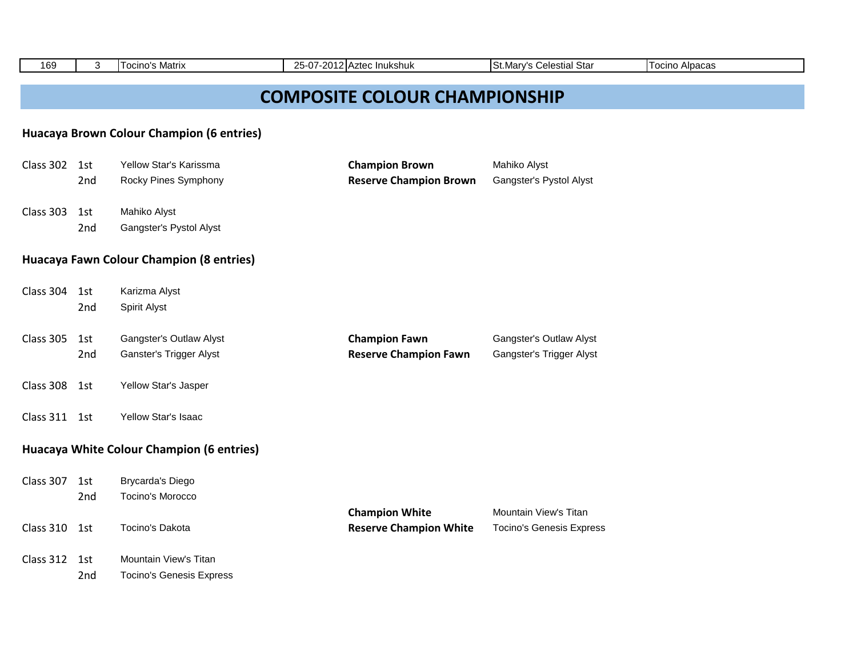| 169           | 3   | <b>Tocino's Matrix</b>                    | 25-07-2012 Aztec Inukshuk            | St.Mary's Celestial Star        | <b>Tocino Alpacas</b> |  |
|---------------|-----|-------------------------------------------|--------------------------------------|---------------------------------|-----------------------|--|
|               |     |                                           |                                      |                                 |                       |  |
|               |     |                                           | <b>COMPOSITE COLOUR CHAMPIONSHIP</b> |                                 |                       |  |
|               |     | Huacaya Brown Colour Champion (6 entries) |                                      |                                 |                       |  |
|               |     |                                           |                                      |                                 |                       |  |
| Class 302 1st |     | Yellow Star's Karissma                    | <b>Champion Brown</b>                | Mahiko Alyst                    |                       |  |
|               | 2nd | Rocky Pines Symphony                      | <b>Reserve Champion Brown</b>        | Gangster's Pystol Alyst         |                       |  |
| Class 303     | 1st | Mahiko Alyst                              |                                      |                                 |                       |  |
|               | 2nd | Gangster's Pystol Alyst                   |                                      |                                 |                       |  |
|               |     |                                           |                                      |                                 |                       |  |
|               |     | Huacaya Fawn Colour Champion (8 entries)  |                                      |                                 |                       |  |
|               |     |                                           |                                      |                                 |                       |  |
| Class 304     | 1st | Karizma Alyst                             |                                      |                                 |                       |  |
|               | 2nd | Spirit Alyst                              |                                      |                                 |                       |  |
| Class 305     | 1st | Gangster's Outlaw Alyst                   | <b>Champion Fawn</b>                 | Gangster's Outlaw Alyst         |                       |  |
|               | 2nd | Ganster's Trigger Alyst                   | <b>Reserve Champion Fawn</b>         | Gangster's Trigger Alyst        |                       |  |
| Class 308     | 1st | Yellow Star's Jasper                      |                                      |                                 |                       |  |
| Class 311 1st |     | Yellow Star's Isaac                       |                                      |                                 |                       |  |
|               |     | Huacaya White Colour Champion (6 entries) |                                      |                                 |                       |  |
|               |     |                                           |                                      |                                 |                       |  |
| Class 307     | 1st | <b>Brycarda's Diego</b>                   |                                      |                                 |                       |  |
|               | 2nd | Tocino's Morocco                          |                                      |                                 |                       |  |
|               |     |                                           | <b>Champion White</b>                | Mountain View's Titan           |                       |  |
| Class 310 1st |     | Tocino's Dakota                           | <b>Reserve Champion White</b>        | <b>Tocino's Genesis Express</b> |                       |  |
| Class 312     | 1st | Mountain View's Titan                     |                                      |                                 |                       |  |
|               | 2nd | <b>Tocino's Genesis Express</b>           |                                      |                                 |                       |  |